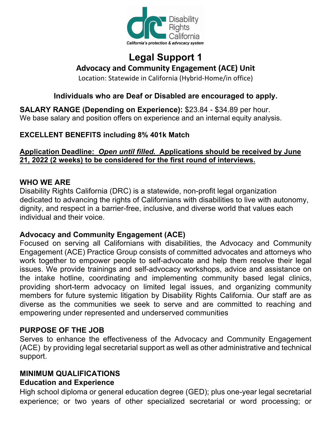

# **Legal Support 1 Advocacy and Community Engagement (ACE) Unit**

Location: Statewide in California (Hybrid-Home/in office)

# **Individuals who are Deaf or Disabled are encouraged to apply.**

**SALARY RANGE (Depending on Experience):** \$23.84 - \$34.89 per hour. We base salary and position offers on experience and an internal equity analysis.

## **EXCELLENT BENEFITS including 8% 401k Match**

#### **Application Deadline:** *Open until filled.* **Applications should be received by June 21, 2022 (2 weeks) to be considered for the first round of interviews.**

#### **WHO WE ARE**

Disability Rights California (DRC) is a statewide, non-profit legal organization dedicated to advancing the rights of Californians with disabilities to live with autonomy, dignity, and respect in a barrier-free, inclusive, and diverse world that values each individual and their voice.

#### **Advocacy and Community Engagement (ACE)**

Focused on serving all Californians with disabilities, the Advocacy and Community Engagement (ACE) Practice Group consists of committed advocates and attorneys who work together to empower people to self-advocate and help them resolve their legal issues. We provide trainings and self-advocacy workshops, advice and assistance on the intake hotline, coordinating and implementing community based legal clinics, providing short-term advocacy on limited legal issues, and organizing community members for future systemic litigation by Disability Rights California. Our staff are as diverse as the communities we seek to serve and are committed to reaching and empowering under represented and underserved communities

#### **PURPOSE OF THE JOB**

Serves to enhance the effectiveness of the Advocacy and Community Engagement (ACE) by providing legal secretarial support as well as other administrative and technical support.

## **MINIMUM QUALIFICATIONS**

# **Education and Experience**

High school diploma or general education degree (GED); plus one-year legal secretarial experience; or two years of other specialized secretarial or word processing; or